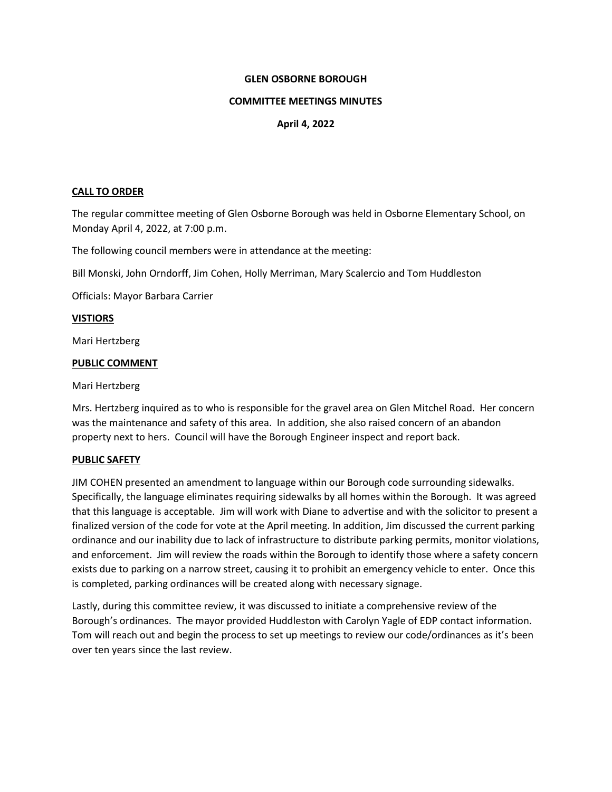# **GLEN OSBORNE BOROUGH**

### **COMMITTEE MEETINGS MINUTES**

# **April 4, 2022**

# **CALL TO ORDER**

The regular committee meeting of Glen Osborne Borough was held in Osborne Elementary School, on Monday April 4, 2022, at 7:00 p.m.

The following council members were in attendance at the meeting:

Bill Monski, John Orndorff, Jim Cohen, Holly Merriman, Mary Scalercio and Tom Huddleston

Officials: Mayor Barbara Carrier

# **VISTIORS**

Mari Hertzberg

# **PUBLIC COMMENT**

# Mari Hertzberg

Mrs. Hertzberg inquired as to who is responsible for the gravel area on Glen Mitchel Road. Her concern was the maintenance and safety of this area. In addition, she also raised concern of an abandon property next to hers. Council will have the Borough Engineer inspect and report back.

#### **PUBLIC SAFETY**

JIM COHEN presented an amendment to language within our Borough code surrounding sidewalks. Specifically, the language eliminates requiring sidewalks by all homes within the Borough. It was agreed that this language is acceptable. Jim will work with Diane to advertise and with the solicitor to present a finalized version of the code for vote at the April meeting. In addition, Jim discussed the current parking ordinance and our inability due to lack of infrastructure to distribute parking permits, monitor violations, and enforcement. Jim will review the roads within the Borough to identify those where a safety concern exists due to parking on a narrow street, causing it to prohibit an emergency vehicle to enter. Once this is completed, parking ordinances will be created along with necessary signage.

Lastly, during this committee review, it was discussed to initiate a comprehensive review of the Borough's ordinances. The mayor provided Huddleston with Carolyn Yagle of EDP contact information. Tom will reach out and begin the process to set up meetings to review our code/ordinances as it's been over ten years since the last review.